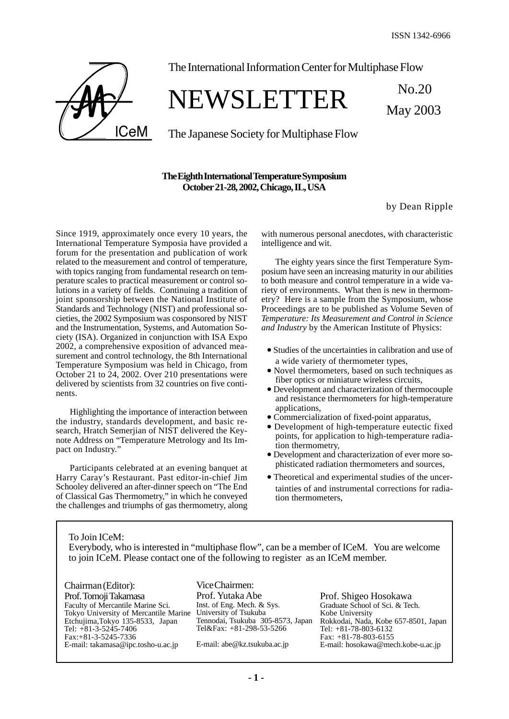May 2003



The International Information Center for Multiphase Flow

### NEWSLETTER No.20

The Japanese Society for Multiphase Flow

#### **The Eighth International Temperature Symposium October 21-28, 2002, Chicago, IL, USA**

by Dean Ripple

Since 1919, approximately once every 10 years, the International Temperature Symposia have provided a forum for the presentation and publication of work related to the measurement and control of temperature, with topics ranging from fundamental research on temperature scales to practical measurement or control solutions in a variety of fields. Continuing a tradition of joint sponsorship between the National Institute of Standards and Technology (NIST) and professional societies, the 2002 Symposium was cosponsored by NIST and the Instrumentation, Systems, and Automation Society (ISA). Organized in conjunction with ISA Expo 2002, a comprehensive exposition of advanced measurement and control technology, the 8th International Temperature Symposium was held in Chicago, from October 21 to 24, 2002. Over 210 presentations were delivered by scientists from 32 countries on five continents.

Highlighting the importance of interaction between the industry, standards development, and basic research, Hratch Semerjian of NIST delivered the Keynote Address on "Temperature Metrology and Its Impact on Industry."

Participants celebrated at an evening banquet at Harry Caray's Restaurant. Past editor-in-chief Jim Schooley delivered an after-dinner speech on "The End of Classical Gas Thermometry," in which he conveyed the challenges and triumphs of gas thermometry, along

with numerous personal anecdotes, with characteristic intelligence and wit.

The eighty years since the first Temperature Symposium have seen an increasing maturity in our abilities to both measure and control temperature in a wide variety of environments. What then is new in thermometry? Here is a sample from the Symposium, whose Proceedings are to be published as Volume Seven of *Temperature: Its Measurement and Control in Science and Industry* by the American Institute of Physics:

- Studies of the uncertainties in calibration and use of a wide variety of thermometer types,
- Novel thermometers, based on such techniques as fiber optics or miniature wireless circuits,
- Development and characterization of thermocouple and resistance thermometers for high-temperature applications,
- Commercialization of fixed-point apparatus,
- Development of high-temperature eutectic fixed points, for application to high-temperature radiation thermometry,
- Development and characterization of ever more sophisticated radiation thermometers and sources,
- Theoretical and experimental studies of the uncertainties of and instrumental corrections for radiation thermometers,

To Join ICeM:

Everybody, who is interested in "multiphase flow", can be a member of ICeM. You are welcome to join ICeM. Please contact one of the following to register as an ICeM member.

Chairman (Editor): Prof. Tomoji Takamasa Faculty of Mercantile Marine Sci. Tokyo University of Mercantile Marine Etchujima,Tokyo 135-8533, Japan Tel: +81-3-5245-7406 Fax:+81-3-5245-7336 E-mail: takamasa@ipc.tosho-u.ac.jp

Vice Chairmen: Prof. Yutaka Abe Inst. of Eng. Mech. & Sys. University of Tsukuba Tennodai, Tsukuba 305-8573, Japan Tel&Fax: +81-298-53-5266

E-mail: abe@kz.tsukuba.ac.jp

Prof. Shigeo Hosokawa Graduate School of Sci. & Tech. Kobe University Rokkodai, Nada, Kobe 657-8501, Japan Tel: +81-78-803-6132 Fax: +81-78-803-6155 E-mail: hosokawa@mech.kobe-u.ac.jp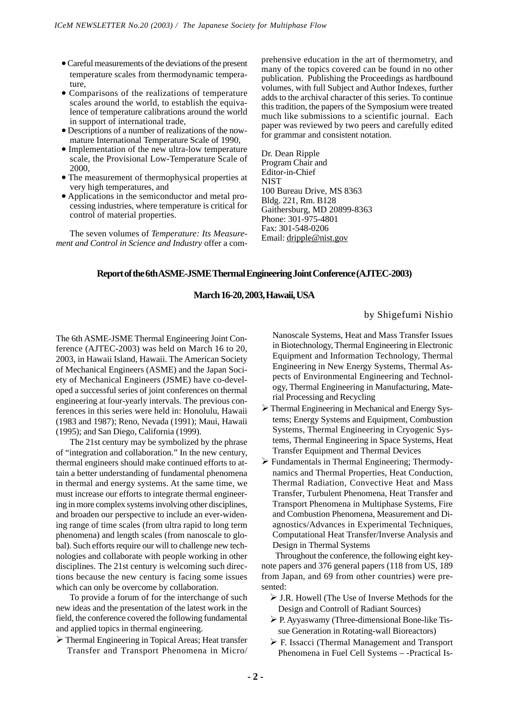- Careful measurements of the deviations of the present temperature scales from thermodynamic temperature,
- Comparisons of the realizations of temperature scales around the world, to establish the equivalence of temperature calibrations around the world in support of international trade,
- Descriptions of a number of realizations of the nowmature International Temperature Scale of 1990,
- Implementation of the new ultra-low temperature scale, the Provisional Low-Temperature Scale of 2000,
- The measurement of thermophysical properties at very high temperatures, and
- Applications in the semiconductor and metal processing industries, where temperature is critical for control of material properties.

The seven volumes of *Temperature: Its Measurement and Control in Science and Industry* offer a comprehensive education in the art of thermometry, and many of the topics covered can be found in no other publication. Publishing the Proceedings as hardbound volumes, with full Subject and Author Indexes, further adds to the archival character of this series. To continue this tradition, the papers of the Symposium were treated much like submissions to a scientific journal. Each paper was reviewed by two peers and carefully edited for grammar and consistent notation.

Dr. Dean Ripple Program Chair and Editor-in-Chief NIST 100 Bureau Drive, MS 8363 Bldg. 221, Rm. B128 Gaithersburg, MD 20899-8363 Phone: 301-975-4801 Fax: 301-548-0206 Email: dripple@nist.gov

#### **Report of the 6th ASME-JSME Thermal Engineering Joint Conference (AJTEC-2003)**

#### **March 16-20, 2003, Hawaii, USA**

#### by Shigefumi Nishio

The 6th ASME-JSME Thermal Engineering Joint Conference (AJTEC-2003) was held on March 16 to 20, 2003, in Hawaii Island, Hawaii. The American Society of Mechanical Engineers (ASME) and the Japan Society of Mechanical Engineers (JSME) have co-developed a successful series of joint conferences on thermal engineering at four-yearly intervals. The previous conferences in this series were held in: Honolulu, Hawaii (1983 and 1987); Reno, Nevada (1991); Maui, Hawaii (1995); and San Diego, California (1999).

The 21st century may be symbolized by the phrase of "integration and collaboration." In the new century, thermal engineers should make continued efforts to attain a better understanding of fundamental phenomena in thermal and energy systems. At the same time, we must increase our efforts to integrate thermal engineering in more complex systems involving other disciplines, and broaden our perspective to include an ever-widening range of time scales (from ultra rapid to long term phenomena) and length scales (from nanoscale to global). Such efforts require our will to challenge new technologies and collaborate with people working in other disciplines. The 21st century is welcoming such directions because the new century is facing some issues which can only be overcome by collaboration.

To provide a forum of for the interchange of such new ideas and the presentation of the latest work in the field, the conference covered the following fundamental and applied topics in thermal engineering.

 Thermal Engineering in Topical Areas; Heat transfer Transfer and Transport Phenomena in Micro/

Nanoscale Systems, Heat and Mass Transfer Issues in Biotechnology, Thermal Engineering in Electronic Equipment and Information Technology, Thermal Engineering in New Energy Systems, Thermal Aspects of Environmental Engineering and Technology, Thermal Engineering in Manufacturing, Material Processing and Recycling

- Thermal Engineering in Mechanical and Energy Systems; Energy Systems and Equipment, Combustion Systems, Thermal Engineering in Cryogenic Systems, Thermal Engineering in Space Systems, Heat Transfer Equipment and Thermal Devices
- Fundamentals in Thermal Engineering; Thermodynamics and Thermal Properties, Heat Conduction, Thermal Radiation, Convective Heat and Mass Transfer, Turbulent Phenomena, Heat Transfer and Transport Phenomena in Multiphase Systems, Fire and Combustion Phenomena, Measurement and Diagnostics/Advances in Experimental Techniques, Computational Heat Transfer/Inverse Analysis and Design in Thermal Systems

Throughout the conference, the following eight keynote papers and 376 general papers (118 from US, 189 from Japan, and 69 from other countries) were presented:

- J.R. Howell (The Use of Inverse Methods for the Design and Controll of Radiant Sources)
- P. Ayyaswamy (Three-dimensional Bone-like Tissue Generation in Rotating-wall Bioreactors)
- F. Issacci (Thermal Management and Transport Phenomena in Fuel Cell Systems – -Practical Is-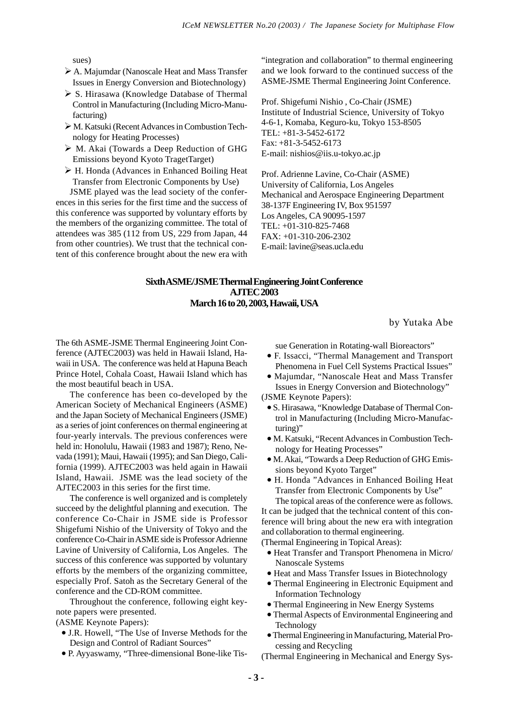sues)

- A. Majumdar (Nanoscale Heat and Mass Transfer Issues in Energy Conversion and Biotechnology)
- $\triangleright$  S. Hirasawa (Knowledge Database of Thermal Control in Manufacturing (Including Micro-Manufacturing)
- M. Katsuki (Recent Advances in Combustion Technology for Heating Processes)
- M. Akai (Towards a Deep Reduction of GHG Emissions beyond Kyoto TragetTarget)
- H. Honda (Advances in Enhanced Boiling Heat Transfer from Electronic Components by Use)

JSME played was the lead society of the conferences in this series for the first time and the success of this conference was supported by voluntary efforts by the members of the organizing committee. The total of attendees was 385 (112 from US, 229 from Japan, 44 from other countries). We trust that the technical content of this conference brought about the new era with

"integration and collaboration" to thermal engineering and we look forward to the continued success of the ASME-JSME Thermal Engineering Joint Conference.

Prof. Shigefumi Nishio , Co-Chair (JSME) Institute of Industrial Science, University of Tokyo 4-6-1, Komaba, Keguro-ku, Tokyo 153-8505 TEL: +81-3-5452-6172 Fax: +81-3-5452-6173 E-mail: nishios@iis.u-tokyo.ac.jp

Prof. Adrienne Lavine, Co-Chair (ASME) University of California, Los Angeles Mechanical and Aerospace Engineering Department 38-137F Engineering IV, Box 951597 Los Angeles, CA 90095-1597 TEL: +01-310-825-7468 FAX: +01-310-206-2302 E-mail: lavine@seas.ucla.edu

#### **Sixth ASME/JSME Thermal Engineering Joint Conference AJTEC 2003 March 16 to 20, 2003, Hawaii, USA**

by Yutaka Abe

The 6th ASME-JSME Thermal Engineering Joint Conference (AJTEC2003) was held in Hawaii Island, Hawaii in USA. The conference was held at Hapuna Beach Prince Hotel, Cohala Coast, Hawaii Island which has the most beautiful beach in USA.

The conference has been co-developed by the American Society of Mechanical Engineers (ASME) and the Japan Society of Mechanical Engineers (JSME) as a series of joint conferences on thermal engineering at four-yearly intervals. The previous conferences were held in: Honolulu, Hawaii (1983 and 1987); Reno, Nevada (1991); Maui, Hawaii (1995); and San Diego, California (1999). AJTEC2003 was held again in Hawaii Island, Hawaii. JSME was the lead society of the AJTEC2003 in this series for the first time.

The conference is well organized and is completely succeed by the delightful planning and execution. The conference Co-Chair in JSME side is Professor Shigefumi Nishio of the University of Tokyo and the conference Co-Chair in ASME side is Professor Adrienne Lavine of University of California, Los Angeles. The success of this conference was supported by voluntary efforts by the members of the organizing committee, especially Prof. Satoh as the Secretary General of the conference and the CD-ROM committee.

Throughout the conference, following eight keynote papers were presented.

(ASME Keynote Papers):

- J.R. Howell, "The Use of Inverse Methods for the Design and Control of Radiant Sources"
- P. Ayyaswamy, "Three-dimensional Bone-like Tis-

sue Generation in Rotating-wall Bioreactors"

- F. Issacci, "Thermal Management and Transport Phenomena in Fuel Cell Systems Practical Issues"
- Majumdar, "Nanoscale Heat and Mass Transfer Issues in Energy Conversion and Biotechnology"
- (JSME Keynote Papers):
	- S. Hirasawa, "Knowledge Database of Thermal Control in Manufacturing (Including Micro-Manufacturing)"
	- M. Katsuki, "Recent Advances in Combustion Technology for Heating Processes"
	- M. Akai, "Towards a Deep Reduction of GHG Emissions beyond Kyoto Target"
	- H. Honda "Advances in Enhanced Boiling Heat Transfer from Electronic Components by Use" The topical areas of the conference were as follows.

It can be judged that the technical content of this conference will bring about the new era with integration and collaboration to thermal engineering.

(Thermal Engineering in Topical Areas):

- Heat Transfer and Transport Phenomena in Micro/ Nanoscale Systems
- Heat and Mass Transfer Issues in Biotechnology
- Thermal Engineering in Electronic Equipment and Information Technology
- Thermal Engineering in New Energy Systems
- Thermal Aspects of Environmental Engineering and Technology
- Thermal Engineering in Manufacturing, Material Processing and Recycling

(Thermal Engineering in Mechanical and Energy Sys-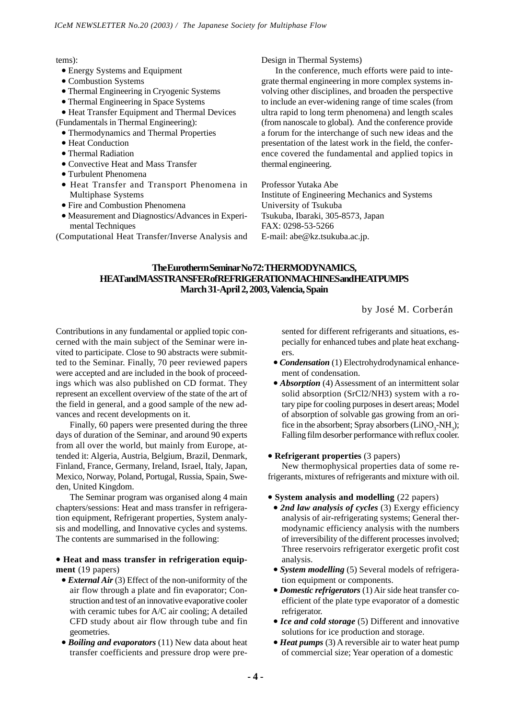tems):

- Energy Systems and Equipment
- Combustion Systems
- Thermal Engineering in Cryogenic Systems
- Thermal Engineering in Space Systems
- Heat Transfer Equipment and Thermal Devices (Fundamentals in Thermal Engineering):
	- Thermodynamics and Thermal Properties
- Heat Conduction
- Thermal Radiation
- Convective Heat and Mass Transfer
- Turbulent Phenomena
- Heat Transfer and Transport Phenomena in Multiphase Systems
- Fire and Combustion Phenomena
- Measurement and Diagnostics/Advances in Experimental Techniques

(Computational Heat Transfer/Inverse Analysis and

Design in Thermal Systems)

In the conference, much efforts were paid to integrate thermal engineering in more complex systems involving other disciplines, and broaden the perspective to include an ever-widening range of time scales (from ultra rapid to long term phenomena) and length scales (from nanoscale to global). And the conference provide a forum for the interchange of such new ideas and the presentation of the latest work in the field, the conference covered the fundamental and applied topics in thermal engineering.

Professor Yutaka Abe Institute of Engineering Mechanics and Systems University of Tsukuba Tsukuba, Ibaraki, 305-8573, Japan FAX: 0298-53-5266 E-mail: abe@kz.tsukuba.ac.jp.

#### **The Eurotherm Seminar No 72: THERMODYNAMICS, HEAT and MASS TRANSFER of REFRIGERATION MACHINES and HEAT PUMPS March 31-April 2, 2003, Valencia, Spain**

#### by José M. Corberán

Contributions in any fundamental or applied topic concerned with the main subject of the Seminar were invited to participate. Close to 90 abstracts were submitted to the Seminar. Finally, 70 peer reviewed papers were accepted and are included in the book of proceedings which was also published on CD format. They represent an excellent overview of the state of the art of the field in general, and a good sample of the new advances and recent developments on it.

Finally, 60 papers were presented during the three days of duration of the Seminar, and around 90 experts from all over the world, but mainly from Europe, attended it: Algeria, Austria, Belgium, Brazil, Denmark, Finland, France, Germany, Ireland, Israel, Italy, Japan, Mexico, Norway, Poland, Portugal, Russia, Spain, Sweden, United Kingdom.

The Seminar program was organised along 4 main chapters/sessions: Heat and mass transfer in refrigeration equipment, Refrigerant properties, System analysis and modelling, and Innovative cycles and systems. The contents are summarised in the following:

#### • **Heat and mass transfer in refrigeration equipment** (19 papers)

- *External Air* (3) Effect of the non-uniformity of the air flow through a plate and fin evaporator; Construction and test of an innovative evaporative cooler with ceramic tubes for A/C air cooling; A detailed CFD study about air flow through tube and fin geometries.
- *Boiling and evaporators* (11) New data about heat transfer coefficients and pressure drop were pre-

sented for different refrigerants and situations, especially for enhanced tubes and plate heat exchangers.

- *Condensation* (1) Electrohydrodynamical enhancement of condensation.
- *Absorption* (4) Assessment of an intermittent solar solid absorption (SrCl2/NH3) system with a rotary pipe for cooling purposes in desert areas; Model of absorption of solvable gas growing from an orifice in the absorbent; Spray absorbers  $(LiNO<sub>3</sub>-NH<sub>3</sub>)$ ; Falling film desorber performance with reflux cooler.

#### • **Refrigerant properties** (3 papers)

New thermophysical properties data of some refrigerants, mixtures of refrigerants and mixture with oil.

- **System analysis and modelling** (22 papers)
- *2nd law analysis of cycles* (3) Exergy efficiency analysis of air-refrigerating systems; General thermodynamic efficiency analysis with the numbers of irreversibility of the different processes involved; Three reservoirs refrigerator exergetic profit cost analysis.
- *System modelling* (5) Several models of refrigeration equipment or components.
- *Domestic refrigerators* (1) Air side heat transfer coefficient of the plate type evaporator of a domestic refrigerator.
- *Ice and cold storage* (5) Different and innovative solutions for ice production and storage.
- *Heat pumps* (3) A reversible air to water heat pump of commercial size; Year operation of a domestic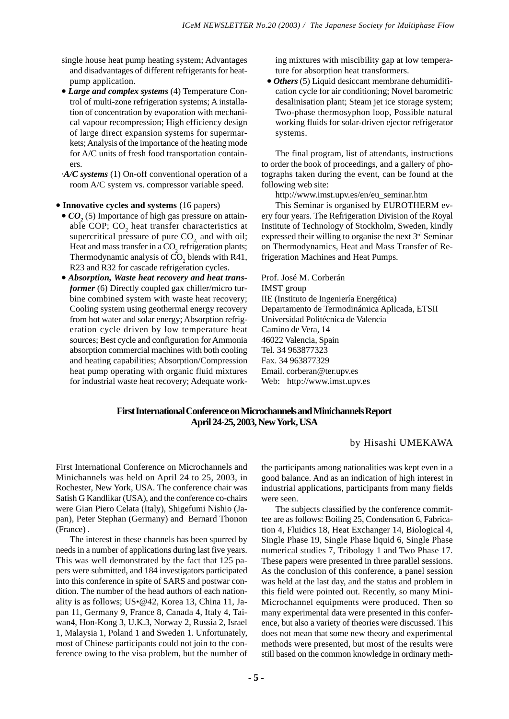- single house heat pump heating system; Advantages and disadvantages of different refrigerants for heatpump application.
- *Large and complex systems* (4) Temperature Control of multi-zone refrigeration systems; A installation of concentration by evaporation with mechanical vapour recompression; High efficiency design of large direct expansion systems for supermarkets; Analysis of the importance of the heating mode for A/C units of fresh food transportation containers.
- ·*A/C systems* (1) On-off conventional operation of a room A/C system vs. compressor variable speed.
- **Innovative cycles and systems** (16 papers)
	- $CO<sub>2</sub>$  (5) Importance of high gas pressure on attainable COP;  $CO<sub>2</sub>$  heat transfer characteristics at supercritical pressure of pure  $CO<sub>2</sub>$  and with oil; Heat and mass transfer in a  $\mathrm{CO}_2$  refrigeration plants; Thermodynamic analysis of  $CO<sub>2</sub>$  blends with R41, R23 and R32 for cascade refrigeration cycles.
- *Absorption, Waste heat recovery and heat transformer* (6) Directly coupled gax chiller/micro turbine combined system with waste heat recovery; Cooling system using geothermal energy recovery from hot water and solar energy; Absorption refrigeration cycle driven by low temperature heat sources; Best cycle and configuration for Ammonia absorption commercial machines with both cooling and heating capabilities; Absorption/Compression heat pump operating with organic fluid mixtures for industrial waste heat recovery; Adequate work-

ing mixtures with miscibility gap at low temperature for absorption heat transformers.

• *Others* (5) Liquid desiccant membrane dehumidification cycle for air conditioning; Novel barometric desalinisation plant; Steam jet ice storage system; Two-phase thermosyphon loop, Possible natural working fluids for solar-driven ejector refrigerator systems.

The final program, list of attendants, instructions to order the book of proceedings, and a gallery of photographs taken during the event, can be found at the following web site:

http://www.imst.upv.es/en/eu\_seminar.htm

This Seminar is organised by EUROTHERM every four years. The Refrigeration Division of the Royal Institute of Technology of Stockholm, Sweden, kindly expressed their willing to organise the next 3rd Seminar on Thermodynamics, Heat and Mass Transfer of Refrigeration Machines and Heat Pumps.

Prof. José M. Corberán IMST group IIE (Instituto de Ingeniería Energética) Departamento de Termodinámica Aplicada, ETSII Universidad Politécnica de Valencia Camino de Vera, 14 46022 Valencia, Spain Tel. 34 963877323 Fax. 34 963877329 Email. corberan@ter.upv.es Web: http://www.imst.upv.es

#### **First International Conference on Microchannels and Minichannels Report April 24-25, 2003, New York, USA**

by Hisashi UMEKAWA

First International Conference on Microchannels and Minichannels was held on April 24 to 25, 2003, in Rochester, New York, USA. The conference chair was Satish G Kandlikar (USA), and the conference co-chairs were Gian Piero Celata (Italy), Shigefumi Nishio (Japan), Peter Stephan (Germany) and Bernard Thonon (France) .

The interest in these channels has been spurred by needs in a number of applications during last five years. This was well demonstrated by the fact that 125 papers were submitted, and 184 investigators participated into this conference in spite of SARS and postwar condition. The number of the head authors of each nationality is as follows; US•@42, Korea 13, China 11, Japan 11, Germany 9, France 8, Canada 4, Italy 4, Taiwan4, Hon-Kong 3, U.K.3, Norway 2, Russia 2, Israel 1, Malaysia 1, Poland 1 and Sweden 1. Unfortunately, most of Chinese participants could not join to the conference owing to the visa problem, but the number of the participants among nationalities was kept even in a good balance. And as an indication of high interest in industrial applications, participants from many fields were seen.

The subjects classified by the conference committee are as follows: Boiling 25, Condensation 6, Fabrication 4, Fluidics 18, Heat Exchanger 14, Biological 4, Single Phase 19, Single Phase liquid 6, Single Phase numerical studies 7, Tribology 1 and Two Phase 17. These papers were presented in three parallel sessions. As the conclusion of this conference, a panel session was held at the last day, and the status and problem in this field were pointed out. Recently, so many Mini-Microchannel equipments were produced. Then so many experimental data were presented in this conference, but also a variety of theories were discussed. This does not mean that some new theory and experimental methods were presented, but most of the results were still based on the common knowledge in ordinary meth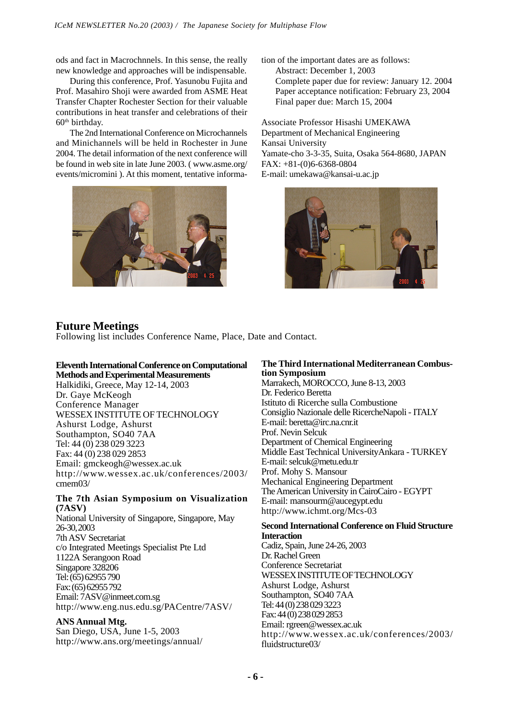ods and fact in Macrochnnels. In this sense, the really new knowledge and approaches will be indispensable.

During this conference, Prof. Yasunobu Fujita and Prof. Masahiro Shoji were awarded from ASME Heat Transfer Chapter Rochester Section for their valuable contributions in heat transfer and celebrations of their  $60<sup>th</sup>$  birthday.

The 2nd International Conference on Microchannels and Minichannels will be held in Rochester in June 2004. The detail information of the next conference will be found in web site in late June 2003. ( www.asme.org/ events/micromini ). At this moment, tentative informa-



tion of the important dates are as follows: Abstract: December 1, 2003 Complete paper due for review: January 12. 2004 Paper acceptance notification: February 23, 2004 Final paper due: March 15, 2004

Associate Professor Hisashi UMEKAWA Department of Mechanical Engineering Kansai University Yamate-cho 3-3-35, Suita, Osaka 564-8680, JAPAN FAX: +81-(0)6-6368-0804 E-mail: umekawa@kansai-u.ac.jp



#### **Future Meetings**

Following list includes Conference Name, Place, Date and Contact.

#### **Eleventh International Conference on Computational Methods and Experimental Measurements**

Halkidiki, Greece, May 12-14, 2003 Dr. Gaye McKeogh Conference Manager WESSEX INSTITUTE OF TECHNOLOGY Ashurst Lodge, Ashurst Southampton, SO40 7AA Tel: 44 (0) 238 029 3223 Fax: 44 (0) 238 029 2853 Email: gmckeogh@wessex.ac.uk http://www.wessex.ac.uk/conferences/2003/ cmem03/

#### **The 7th Asian Symposium on Visualization (7ASV)**

National University of Singapore, Singapore, May 26-30, 2003 7th ASV Secretariat c/o Integrated Meetings Specialist Pte Ltd 1122A Serangoon Road Singapore 328206 Tel: (65) 62955 790 Fax: (65) 62955 792 Email: 7ASV@inmeet.com.sg http://www.eng.nus.edu.sg/PACentre/7ASV/

#### **ANS Annual Mtg.**

San Diego, USA, June 1-5, 2003 http://www.ans.org/meetings/annual/

#### **tion Symposium The Third International Mediterranean Combus-**

Marrakech, MOROCCO, June 8-13, 2003 Dr. Federico Beretta Istituto di Ricerche sulla Combustione Consiglio Nazionale delle RicercheNapoli - ITALY E-mail: beretta@irc.na.cnr.it Prof. Nevin Selcuk Department of Chemical Engineering Middle East Technical UniversityAnkara - TURKEY E-mail: selcuk@metu.edu.tr Prof. Mohy S. Mansour Mechanical Engineering Department The American University in CairoCairo - EGYPT E-mail: mansourm@aucegypt.edu http://www.ichmt.org/Mcs-03

#### **Second International Conference on Fluid Structure Interaction**

Cadiz, Spain, June 24-26, 2003 Dr. Rachel Green Conference Secretariat WESSEX INSTITUTE OF TECHNOLOGY Ashurst Lodge, Ashurst Southampton, SO40 7AA Tel: 44 (0) 238 029 3223 Fax: 44 (0) 238 029 2853 Email: rgreen@wessex.ac.uk http://www.wessex.ac.uk/conferences/2003/ fluidstructure03/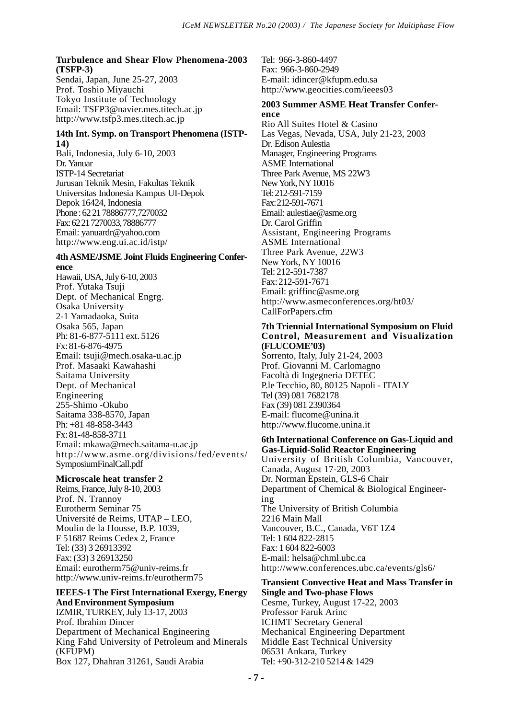#### **Turbulence and Shear Flow Phenomena-2003 (TSFP-3)**

Sendai, Japan, June 25-27, 2003 Prof. Toshio Miyauchi Tokyo Institute of Technology Email: TSFP3@navier.mes.titech.ac.jp http://www.tsfp3.mes.titech.ac.jp

#### **14th Int. Symp. on Transport Phenomena (ISTP-14)**

Bali, Indonesia, July 6-10, 2003 Dr. Yanuar ISTP-14 Secretariat Jurusan Teknik Mesin, Fakultas Teknik Universitas Indonesia Kampus UI-Depok Depok 16424, Indonesia Phone : 62 21 78886777,7270032 Fax: 62 21 7270033, 78886777 Email: yanuardr@yahoo.com http://www.eng.ui.ac.id/istp/

#### **4th ASME/JSME Joint Fluids Engineering Conference**

Hawaii, USA, July 6-10, 2003 Prof. Yutaka Tsuji Dept. of Mechanical Engrg. Osaka University 2-1 Yamadaoka, Suita Osaka 565, Japan Ph: 81-6-877-5111 ext. 5126 Fx: 81-6-876-4975 Email: tsuji@mech.osaka-u.ac.jp Prof. Masaaki Kawahashi Saitama University Dept. of Mechanical Engineering 255-Shimo -Okubo Saitama 338-8570, Japan Ph: +81 48-858-3443 Fx: 81-48-858-3711 Email: mkawa@mech.saitama-u.ac.jp http://www.asme.org/divisions/fed/events/ SymposiumFinalCall.pdf

#### **Microscale heat transfer 2**

Reims, France, July 8-10, 2003 Prof. N. Trannoy Eurotherm Seminar 75 Université de Reims, UTAP – LEO, Moulin de la Housse, B.P. 1039, F 51687 Reims Cedex 2, France Tel: (33) 3 26913392 Fax: (33) 3 26913250 Email: eurotherm75@univ-reims.fr http://www.univ-reims.fr/eurotherm75

#### **IEEES-1 The First International Exergy, Energy And Environment Symposium**

IZMIR, TURKEY, July 13-17, 2003 Prof. Ibrahim Dincer Department of Mechanical Engineering King Fahd University of Petroleum and Minerals (KFUPM) Box 127, Dhahran 31261, Saudi Arabia

Tel: 966-3-860-4497 Fax: 966-3-860-2949 E-mail: idincer@kfupm.edu.sa http://www.geocities.com/ieees03

#### **2003 Summer ASME Heat Transfer Conference**

Rio All Suites Hotel & Casino Las Vegas, Nevada, USA, July 21-23, 2003 Dr. Edison Aulestia Manager, Engineering Programs ASME International Three Park Avenue, MS 22W3 New York, NY 10016 Tel: 212-591-7159 Fax: 212-591-7671 Email: aulestiae@asme.org Dr. Carol Griffin Assistant, Engineering Programs ASME International Three Park Avenue, 22W3 New York, NY 10016 Tel: 212-591-7387 Fax: 212-591-7671 Email: griffinc@asme.org http://www.asmeconferences.org/ht03/ CallForPapers.cfm

#### **7th Triennial International Symposium on Fluid Control, Measurement and Visualization (FLUCOME'03)**

Sorrento, Italy, July 21-24, 2003 Prof. Giovanni M. Carlomagno Facoltà di Ingegneria DETEC P.le Tecchio, 80, 80125 Napoli - ITALY Tel (39) 081 7682178 Fax (39) 081 2390364 E-mail: flucome@unina.it http://www.flucome.unina.it

#### **6th International Conference on Gas-Liquid and Gas-Liquid-Solid Reactor Engineering**

University of British Columbia, Vancouver, Canada, August 17-20, 2003 Dr. Norman Epstein, GLS-6 Chair Department of Chemical & Biological Engineering The University of British Columbia 2216 Main Mall Vancouver, B.C., Canada, V6T 1Z4 Tel: 1 604 822-2815 Fax: 1 604 822-6003 E-mail: helsa@chml.ubc.ca http://www.conferences.ubc.ca/events/gls6/

#### **Transient Convective Heat and Mass Transfer in Single and Two-phase Flows** Cesme, Turkey, August 17-22, 2003

Professor Faruk Arinc ICHMT Secretary General Mechanical Engineering Department Middle East Technical University 06531 Ankara, Turkey Tel: +90-312-210 5214 & 1429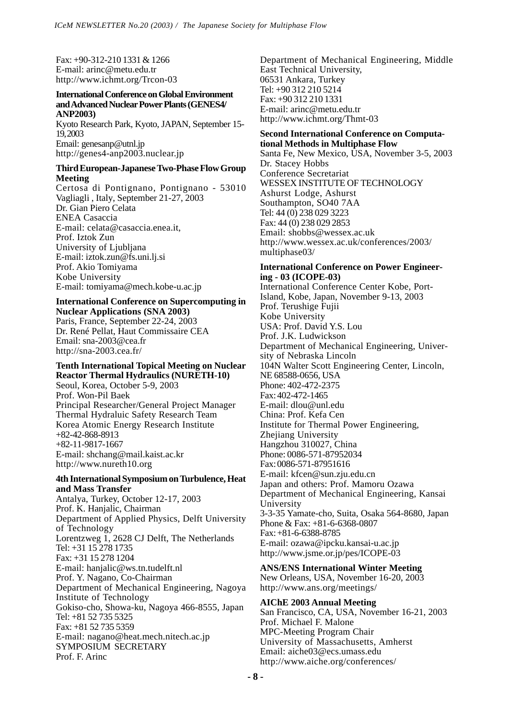Fax: +90-312-210 1331 & 1266 E-mail: arinc@metu.edu.tr http://www.ichmt.org/Trcon-03

#### **International Conference on Global Environment and Advanced Nuclear Power Plants (GENES4/ ANP2003)**

Kyoto Research Park, Kyoto, JAPAN, September 15- 19, 2003 Email: genesanp@utnl.jp http://genes4-anp2003.nuclear.jp

#### **Third European-Japanese Two-Phase Flow Group Meeting**

Certosa di Pontignano, Pontignano - 53010 Vagliagli , Italy, September 21-27, 2003 Dr. Gian Piero Celata ENEA Casaccia E-mail: celata@casaccia.enea.it, Prof. Iztok Zun University of Ljubljana E-mail: iztok.zun@fs.uni.lj.si Prof. Akio Tomiyama Kobe University E-mail: tomiyama@mech.kobe-u.ac.jp

#### **International Conference on Supercomputing in Nuclear Applications (SNA 2003)** Paris, France, September 22-24, 2003

Dr. René Pellat, Haut Commissaire CEA Email: sna-2003@cea.fr http://sna-2003.cea.fr/

#### **Tenth International Topical Meeting on Nuclear Reactor Thermal Hydraulics (NURETH-10)**

Seoul, Korea, October 5-9, 2003 Prof. Won-Pil Baek Principal Researcher/General Project Manager Thermal Hydraluic Safety Research Team Korea Atomic Energy Research Institute +82-42-868-8913 +82-11-9817-1667 E-mail: shchang@mail.kaist.ac.kr http://www.nureth10.org

#### **4th International Symposium on Turbulence, Heat and Mass Transfer**

Antalya, Turkey, October 12-17, 2003 Prof. K. Hanjalic, Chairman Department of Applied Physics, Delft University of Technology Lorentzweg 1, 2628 CJ Delft, The Netherlands Tel: +31 15 278 1735 Fax: +31 15 278 1204 E-mail: hanjalic@ws.tn.tudelft.nl Prof. Y. Nagano, Co-Chairman Department of Mechanical Engineering, Nagoya Institute of Technology Gokiso-cho, Showa-ku, Nagoya 466-8555, Japan Tel: +81 52 735 5325 Fax: +81 52 735 5359 E-mail: nagano@heat.mech.nitech.ac.jp SYMPOSIUM SECRETARY Prof. F. Arinc

Department of Mechanical Engineering, Middle East Technical University, 06531 Ankara, Turkey Tel: +90 312 210 5214 Fax: +90 312 210 1331 E-mail: arinc@metu.edu.tr http://www.ichmt.org/Thmt-03

#### **Second International Conference on Computational Methods in Multiphase Flow**

Santa Fe, New Mexico, USA, November 3-5, 2003 Dr. Stacey Hobbs Conference Secretariat WESSEX INSTITUTE OF TECHNOLOGY Ashurst Lodge, Ashurst Southampton, SO40 7AA Tel: 44 (0) 238 029 3223 Fax: 44 (0) 238 029 2853 Email: shobbs@wessex.ac.uk http://www.wessex.ac.uk/conferences/2003/ multiphase03/

#### **International Conference on Power Engineering - 03 (ICOPE-03)**

International Conference Center Kobe, Port-Island, Kobe, Japan, November 9-13, 2003 Prof. Terushige Fujii Kobe University USA: Prof. David Y.S. Lou Prof. J.K. Ludwickson Department of Mechanical Engineering, University of Nebraska Lincoln 104N Walter Scott Engineering Center, Lincoln, NE 68588-0656, USA Phone: 402-472-2375 Fax: 402-472-1465 E-mail: dlou@unl.edu China: Prof. Kefa Cen Institute for Thermal Power Engineering, Zhejiang University Hangzhou 310027, China Phone: 0086-571-87952034 Fax: 0086-571-87951616 E-mail: kfcen@sun.zju.edu.cn Japan and others: Prof. Mamoru Ozawa Department of Mechanical Engineering, Kansai University 3-3-35 Yamate-cho, Suita, Osaka 564-8680, Japan Phone & Fax: +81-6-6368-0807 Fax: +81-6-6388-8785 E-mail: ozawa@ipcku.kansai-u.ac.jp http://www.jsme.or.jp/pes/ICOPE-03

**ANS/ENS International Winter Meeting** New Orleans, USA, November 16-20, 2003 http://www.ans.org/meetings/

#### **AIChE 2003 Annual Meeting** San Francisco, CA, USA, November 16-21, 2003 Prof. Michael F. Malone MPC-Meeting Program Chair University of Massachusetts, Amherst Email: aiche03@ecs.umass.edu http://www.aiche.org/conferences/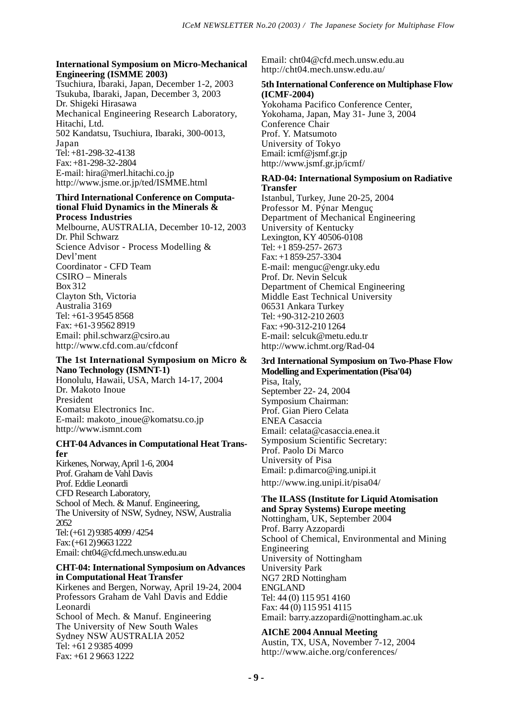#### **International Symposium on Micro-Mechanical Engineering (ISMME 2003)**

Tsuchiura, Ibaraki, Japan, December 1-2, 2003 Tsukuba, Ibaraki, Japan, December 3, 2003 Dr. Shigeki Hirasawa Mechanical Engineering Research Laboratory, Hitachi, Ltd. 502 Kandatsu, Tsuchiura, Ibaraki, 300-0013, Japan Tel: +81-298-32-4138 Fax: +81-298-32-2804 E-mail: hira@merl.hitachi.co.jp http://www.jsme.or.jp/ted/ISMME.html

#### **Third International Conference on Computational Fluid Dynamics in the Minerals & Process Industries**

Melbourne, AUSTRALIA, December 10-12, 2003 Dr. Phil Schwarz Science Advisor - Process Modelling & Devl'ment Coordinator - CFD Team CSIRO – Minerals Box 312 Clayton Sth, Victoria Australia 3169 Tel: +61-3 9545 8568 Fax: +61-3 9562 8919 Email: phil.schwarz@csiro.au http://www.cfd.com.au/cfdconf

#### **The 1st International Symposium on Micro & Nano Technology (ISMNT-1)**

Honolulu, Hawaii, USA, March 14-17, 2004 Dr. Makoto Inoue President Komatsu Electronics Inc. E-mail: makoto\_inoue@komatsu.co.jp http://www.ismnt.com

#### **CHT-04 Advances in Computational Heat Transfer**

Kirkenes, Norway, April 1-6, 2004 Prof. Graham de Vahl Davis Prof. Eddie Leonardi CFD Research Laboratory, School of Mech. & Manuf. Engineering, The University of NSW, Sydney, NSW, Australia 2052 Tel: (+61 2) 9385 4099 / 4254 Fax: (+61 2) 9663 1222 Email: cht04@cfd.mech.unsw.edu.au

#### **CHT-04: International Symposium on Advances in Computational Heat Transfer**

Kirkenes and Bergen, Norway, April 19-24, 2004 Professors Graham de Vahl Davis and Eddie Leonardi School of Mech. & Manuf. Engineering The University of New South Wales Sydney NSW AUSTRALIA 2052 Tel: +61 2 9385 4099 Fax: +61 2 9663 1222

Email: cht04@cfd.mech.unsw.edu.au http://cht04.mech.unsw.edu.au/

#### **5th International Conference on Multiphase Flow (ICMF-2004)**

Yokohama Pacifico Conference Center, Yokohama, Japan, May 31- June 3, 2004 Conference Chair Prof. Y. Matsumoto University of Tokyo Email: icmf@jsmf.gr.jp http://www.jsmf.gr.jp/icmf/

#### **RAD-04: International Symposium on Radiative Transfer**

Istanbul, Turkey, June 20-25, 2004 Professor M. Pýnar Menguç Department of Mechanical Engineering University of Kentucky Lexington, KY 40506-0108 Tel: +1 859-257- 2673 Fax: +1 859-257-3304 E-mail: menguc@engr.uky.edu Prof. Dr. Nevin Selcuk Department of Chemical Engineering Middle East Technical University 06531 Ankara Turkey Tel: +90-312-210 2603 Fax: +90-312-210 1264 E-mail: selcuk@metu.edu.tr http://www.ichmt.org/Rad-04

#### **3rd International Symposium on Two-Phase Flow Modelling and Experimentation (Pisa'04)**

Pisa, Italy, September 22- 24, 2004 Symposium Chairman: Prof. Gian Piero Celata ENEA Casaccia Email: celata@casaccia.enea.it Symposium Scientific Secretary: Prof. Paolo Di Marco University of Pisa Email: p.dimarco@ing.unipi.it http://www.ing.unipi.it/pisa04/

#### **The ILASS (Institute for Liquid Atomisation and Spray Systems) Europe meeting**

Nottingham, UK, September 2004 Prof. Barry Azzopardi School of Chemical, Environmental and Mining Engineering University of Nottingham University Park NG7 2RD Nottingham ENGLAND Tel: 44 (0) 115 951 4160 Fax: 44 (0) 115 951 4115 Email: barry.azzopardi@nottingham.ac.uk

#### **AIChE 2004 Annual Meeting**

Austin, TX, USA, November 7-12, 2004 http://www.aiche.org/conferences/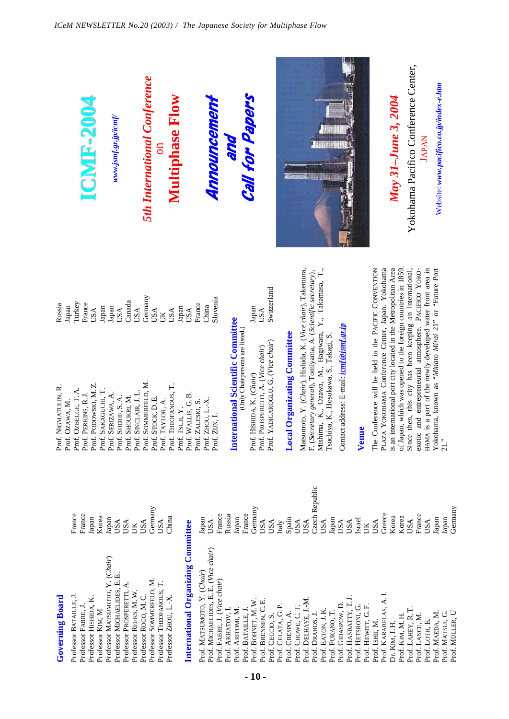| of Japan, which was opened to the foreign countries in 1859.<br>Matsumoto, Y. (Chair), Hishida, K. (Vice chair), Takemura,<br>F. (Secretary general), Tomiyama, A. (Scientific secretary), Mishima, K., Ozawa, M., Hagiwara, Y., Takamasa, T.,<br>is an international port city located in the Metropolitan Area<br>The Conference will be held in the PACIFIC CONVENTION<br>PLAZA YOKOHAMA Conference Center, Japan. Yokohama<br>exotic and entrepreneurial atmosphere. PACIFICO YOKO-<br>HAMA is a part of the newly developed water front area in<br>Since then, this city has been keeping an international,<br>Switzerland<br>Germany<br>Slovenia<br>Canada<br>Turkey<br>France<br>France<br>Russia<br>China<br>Japan<br>Japan<br>Japan<br>Japan<br>Japan<br>USA<br>USA<br>USA<br>USA<br>USA<br>USA<br>USA<br>$\mathbb{R}$<br>International Scientific Committee<br>Contact address: E-mail: icmf@jsmf.gr.jp<br>(Only Chairpersons are listed.)<br><b>Local Organizating Committee</b><br>Tsuchiya, K., Hosokawa, S., Takagi, S.<br>Prof. YADIGAROGLU, G. (Vice chair)<br>Prof. PROSPERETTI, A. (Vice chair)<br>Prof. HISHIDA, K. (Chair)<br>Prof. SOMMERFELD, M.<br>Prof. PODOWSKI, M.Z.<br>Prof. THEOFANOUS, T.<br>Prof. NIGMATULIN, R.<br>Prof. OZBELGE, T.A.<br>Prof. SAKAGUCHI, T.<br>Prof. SINCLAIR, J.L.<br>Prof. SERIZAWA, A.<br>Prof. PERKINS, R.J.<br>Prof. WALLIS, G.B.<br>Prof. SHERIF, S.A.<br>Prof. SHOUKRI, M.<br>Prof. STOCK, D.E.<br>Prof. ZHOU, L.-X.<br>Prof. OZAWA, M.<br>Prof. TAYLOR, A.<br>Prof. ZALESKI, S.<br>Prof. TSUII, Y.<br>Prof. ZUN, I.<br>Venue |                        |                        |                     | <b>LCMLF-2004</b>     |                  |                                 | www.jsmf.gr.jp/icmf/        |                           |                        |                      | <b>5th International Conference</b> |                          |                       | Multiphase Flow |                                    |                             |                                       | Announcement                 |                   | pue               |                    | <b>Call for Papers</b> |                     |                  |                    |                  |                   |                      |                  |                  |                  |                    |                     |                    |                    |                 |                       | May 31-June 3, 2004 |               | Yokohama Pacifico Conference Center, |                 | <b>JAPAN</b>   | Website: www.pacifico.co.jp/index-e.htm              |
|---------------------------------------------------------------------------------------------------------------------------------------------------------------------------------------------------------------------------------------------------------------------------------------------------------------------------------------------------------------------------------------------------------------------------------------------------------------------------------------------------------------------------------------------------------------------------------------------------------------------------------------------------------------------------------------------------------------------------------------------------------------------------------------------------------------------------------------------------------------------------------------------------------------------------------------------------------------------------------------------------------------------------------------------------------------------------------------------------------------------------------------------------------------------------------------------------------------------------------------------------------------------------------------------------------------------------------------------------------------------------------------------------------------------------------------------------------------------------------------------------------------------------------------------------------------------------------------|------------------------|------------------------|---------------------|-----------------------|------------------|---------------------------------|-----------------------------|---------------------------|------------------------|----------------------|-------------------------------------|--------------------------|-----------------------|-----------------|------------------------------------|-----------------------------|---------------------------------------|------------------------------|-------------------|-------------------|--------------------|------------------------|---------------------|------------------|--------------------|------------------|-------------------|----------------------|------------------|------------------|------------------|--------------------|---------------------|--------------------|--------------------|-----------------|-----------------------|---------------------|---------------|--------------------------------------|-----------------|----------------|------------------------------------------------------|
|                                                                                                                                                                                                                                                                                                                                                                                                                                                                                                                                                                                                                                                                                                                                                                                                                                                                                                                                                                                                                                                                                                                                                                                                                                                                                                                                                                                                                                                                                                                                                                                       |                        |                        |                     |                       |                  |                                 |                             |                           |                        |                      |                                     |                          |                       |                 |                                    |                             |                                       |                              |                   |                   |                    |                        |                     |                  |                    |                  |                   |                      |                  |                  |                  |                    |                     |                    |                    |                 |                       |                     |               |                                      |                 |                | Yokohama, known as "Minato Mirai 21" or "Future Port |
|                                                                                                                                                                                                                                                                                                                                                                                                                                                                                                                                                                                                                                                                                                                                                                                                                                                                                                                                                                                                                                                                                                                                                                                                                                                                                                                                                                                                                                                                                                                                                                                       | <b>Governing Board</b> | Professor BATAILLE, J. | Professor FABRE, J. | Professor HISHIDA, K. | Professor KIM, M | Professor MATSUMOTO, Y. (Chair) | Professor MICHAELIDES, E.E. | Professor PROSPERETTI, A. | Professor REEKS, M. W. | Professor ROCO, M.C. | Professor SOMMERFELD, M.            | Professor THEOFANOUS, T. | Professor ZHOU, L.-X. |                 | International Organizing Committee | Prof. MATSUMOTO, Y. (Chair) | Prof. MICHAELIDES, E. E. (Vice chair) | Prof. FABRE, J. (Vice chair) | Prof. AKHATOV, I. | Prof. ARITOMI, M. | Prof. BATAILLE, J. | Prof. BOHNET, M.W      | Prof. BRENNEN, C.E. | Prof. CECCIO, S. | Prof. CELATA, G.P. | Prof. CRESPO, A. | Prof. CROWE, C.T. | Prof. DELHAYE, J.-M. | Prof. DRAHOS, J. | Prof. EATON, J.K | Prof. FUKANO, T. | Prof. GIDASPOW, D. | Prof. HANRATTY, T.J | Prof. HETSRONI, G. | Prof. HEWITT, G.F. | Prof. ISHII, M. | Prof. KARABELAS, A.J. | Dr. KIM, J. H.      | Prof. Km, M.H | Prof. LAHEY, R.T                     | Prof. LANCE, M. | Prof. LOTH, E. | Prof. MAEDA, M                                       |

**Tarihi**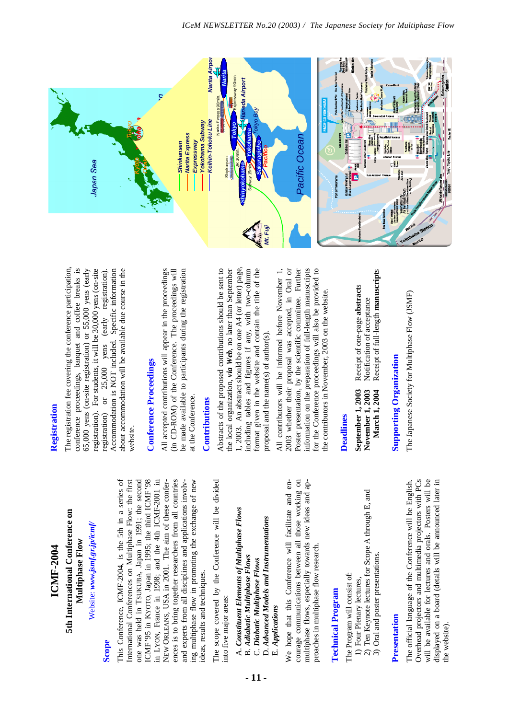

### **Scope**

This Conference, ICMF-2004, is the 5th in a series of International Conferences on Multiphase Flow: the first one was held in TSUKUBA, Japan in 1991; the second ICMF'95 in KYOTO, Japan in 1995; the third ICMF'98 LYON, France in 1998; and the 4th ICMF-2001 in ences is to bring together researchers from all countries ing multiphase flow in promoting the exchange of new This Conference, ICMF-2004, is the 5th in a series of ICMF'95 in KYOTO, Japan in 1995; the third ICMF'98 in LYON, France in 1998; and the 4th ICMF-2001 in NEW ORLEANS, USA in 2001. The aim of these conferences is to bring together researchers from all countries and experts from all disciplines and applications involv-International Conferences on Multiphase Flow: the first one was held in TSUKUBA, Japan in 1991; the second ORLEANS, USA in 2001. The aim of these conferand experts from all disciplines and applications involving multiphase flow in promoting the exchange of new ideas, results and techniques. ideas, results and techniques.

The scope covered by the Conference will be divided The scope covered by the Conference will be divided into five major areas: into five major areas:

- A. Constituent Elements of Multiphase Flows A. *Constituent Elements of Multiphase Flows*
	- **B.** Adiabatic Multiphase Flows B. *Adiabatic Multiphase Flows*
		- C. Diabatic Multiphase Flows C. *Diabatic Multiphase Flows*

**- 11 -**

D. Advanced Models and Instrumentations D. *Advanced Models and Instrumentations* E. Applications E. *Applications*

courage communications between all those working on courage communications between all those working on We hope that this Conference will facilitate and en-We hope that this Conference will facilitate and enmultiphase flows, especially towards new ideas and apmultiphase flows, especially towards new ideas and approaches in multiphase flow research. proaches in multiphase flow research.

## **Technical Program Technical Program**

The Program will consist of: The Program will consist of:

- 1) Four Plenary lectures, 1) Four Plenary lectures,
- 2) Ten Keynote lectures for Scope A through E, and 2) Ten Keynote lectures for Scope A through E, and
	- 3) Oral and poster presentations. 3) Oral and poster presentations.

### Presentation **Presentation**

Overhead projectors and multimedia projectors with PCs will be available for lectures and orals. Posters will be displayed on a board (details will be announced later in Overhead projectors and multimedia projectors with PCs will be available for lectures and orals. Posters will be displayed on a board (details will be announced later in The official language of the Conference will be English. The official language of the Conference will be English. the website). the website).

### Registration **Registration**

The registration fee covering the conference participation, conference proceedings, banquet and coffee breaks is 65,000 yens (on-site registration) or 55,000 yens (early registration). For students, it will be 30,000 yens (on-site Accommodation is NOT included. Specific information about accommodation will be available due course in the The registration fee covering the conference participation, conference proceedings, banquet and coffee breaks is 65,000 yens (on-site registration) or 55,000 yens (early registration). For students, it will be 30,000 yens (on-site Accommodation is NOT included. Specific information or 25,000 yens (early registration). registration) or 25,000 yens (early registration). about accommodation will be available due course in the registration) website.

## **Conference Proceedings Conference Proceedings**

All accepted contributions will appear in the proceedings (in CD-ROM) of the Conference. The proceedings will be made available to participants during the registration All accepted contributions will appear in the proceedings (in CD-ROM) of the Conference. The proceedings will be made available to participants during the registration at the Conference. at the Conference.

### Contributions **Contributions**

1, 2003. An abstract should be on one A4 (or letter) page, Abstracts of the proposed contributions should be sent to the local organization, *via Web*, no later than September including tables and figures if any, with two-column format given in the website and contain the title of the Abstracts of the proposed contributions should be sent to the local organization, via Web, no later than September 1, 2003. An abstract should be on one A4 (or letter) page, including tables and figures if any, with two-column format given in the website and contain the title of the proposal and the name(s) of author(s). proposal and the name(s) of author(s).

All contributors will be informed before November 1, 2003 whether their proposal was accepted, in Oral or Poster presentation, by the scientific committee. Further information on the preparation of full-length manuscripts for the Conference proceedings will also be provided to All contributors will be informed before November 1, 2003 whether their proposal was accepted, in Oral or Poster presentation, by the scientific committee. Further information on the preparation of full-length manuscripts for the Conference proceedings will also be provided to the contributors in November, 2003 on the website. the contributors in November, 2003 on the website.

### **Deadlines Deadlines**

Receipt of full-length manuscripts **March 1, 2004** Receipt of full-length **manuscript**s **September 1, 2003** Receipt of one-page **abstract**s Receipt of one-page abstracts Notification of acceptance **November 1, 2003** Notification of acceptance September 1, 2003 November 1, 2003 **March 1, 2004** 

# **Supporting Organization Supporting Organization**

The Japanese Society for Multiphase Flow (JSMF) The Japanese Society for Multiphase Flow (JSMF)